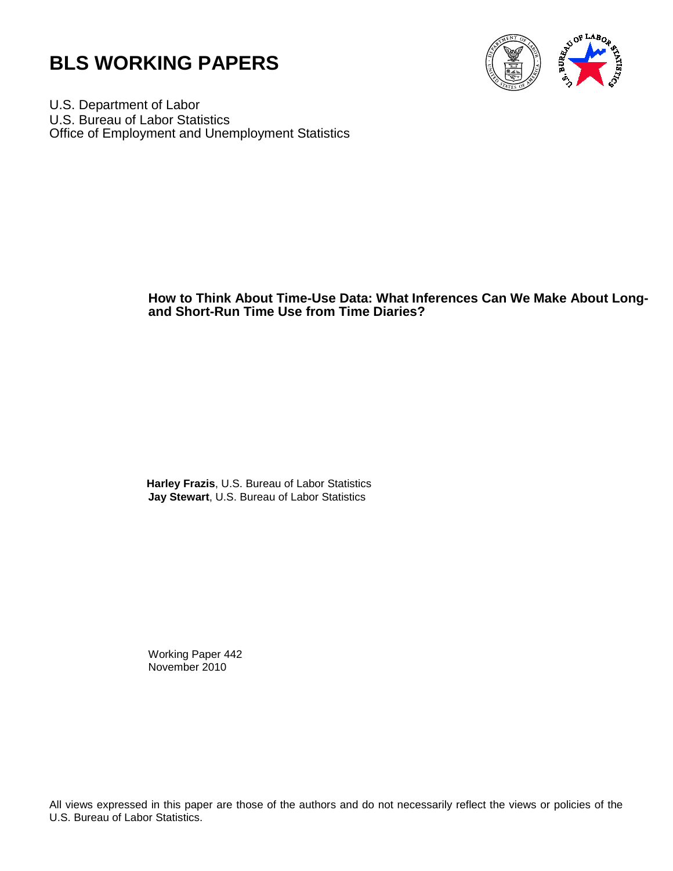



U.S. Department of Labor U.S. Bureau of Labor Statistics Office of Employment and Unemployment Statistics

## **How to Think About Time-Use Data: What Inferences Can We Make About Longand Short-Run Time Use from Time Diaries?**

 **Harley Frazis**, U.S. Bureau of Labor Statistics **Jay Stewart**, U.S. Bureau of Labor Statistics

Working Paper 442 November 2010

All views expressed in this paper are those of the authors and do not necessarily reflect the views or policies of the U.S. Bureau of Labor Statistics.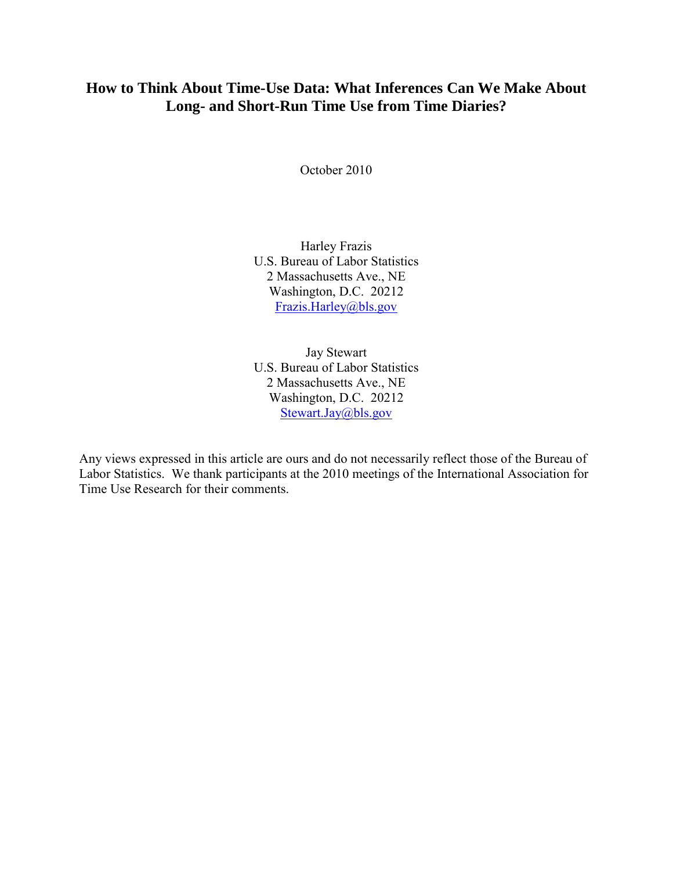# **How to Think About Time-Use Data: What Inferences Can We Make About Long- and Short-Run Time Use from Time Diaries?**

October 2010

Harley Frazis U.S. Bureau of Labor Statistics 2 Massachusetts Ave., NE Washington, D.C. 20212 [Frazis.Harley@bls.gov](mailto:Frazis.Harley@bls.gov)

Jay Stewart U.S. Bureau of Labor Statistics 2 Massachusetts Ave., NE Washington, D.C. 20212 [Stewart.Jay@bls.gov](mailto:Stewart.Jay@bls.gov)

Any views expressed in this article are ours and do not necessarily reflect those of the Bureau of Labor Statistics. We thank participants at the 2010 meetings of the International Association for Time Use Research for their comments.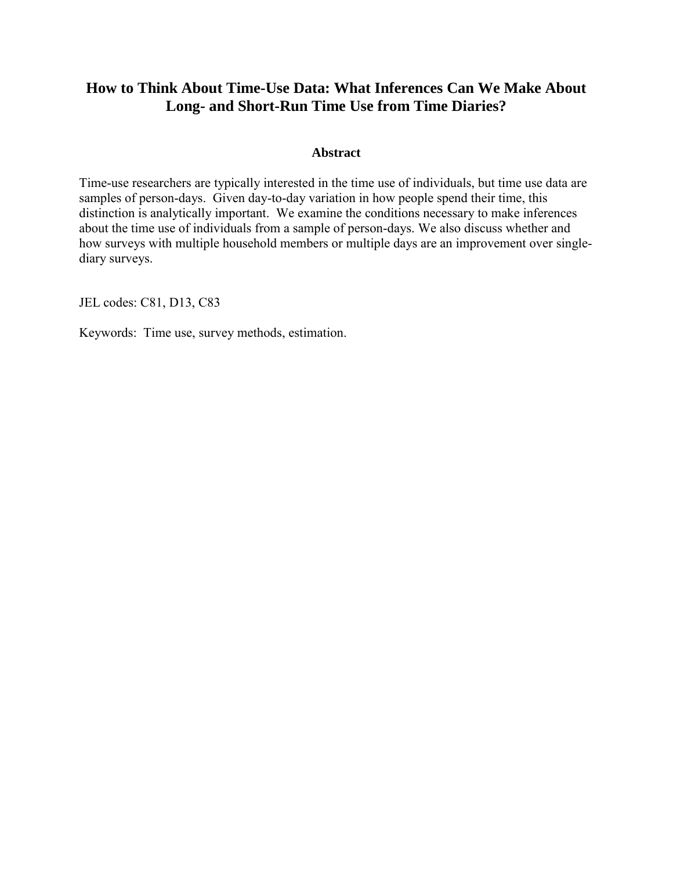## **How to Think About Time-Use Data: What Inferences Can We Make About Long- and Short-Run Time Use from Time Diaries?**

## **Abstract**

Time-use researchers are typically interested in the time use of individuals, but time use data are samples of person-days. Given day-to-day variation in how people spend their time, this distinction is analytically important. We examine the conditions necessary to make inferences about the time use of individuals from a sample of person-days. We also discuss whether and how surveys with multiple household members or multiple days are an improvement over singlediary surveys.

JEL codes: C81, D13, C83

Keywords: Time use, survey methods, estimation.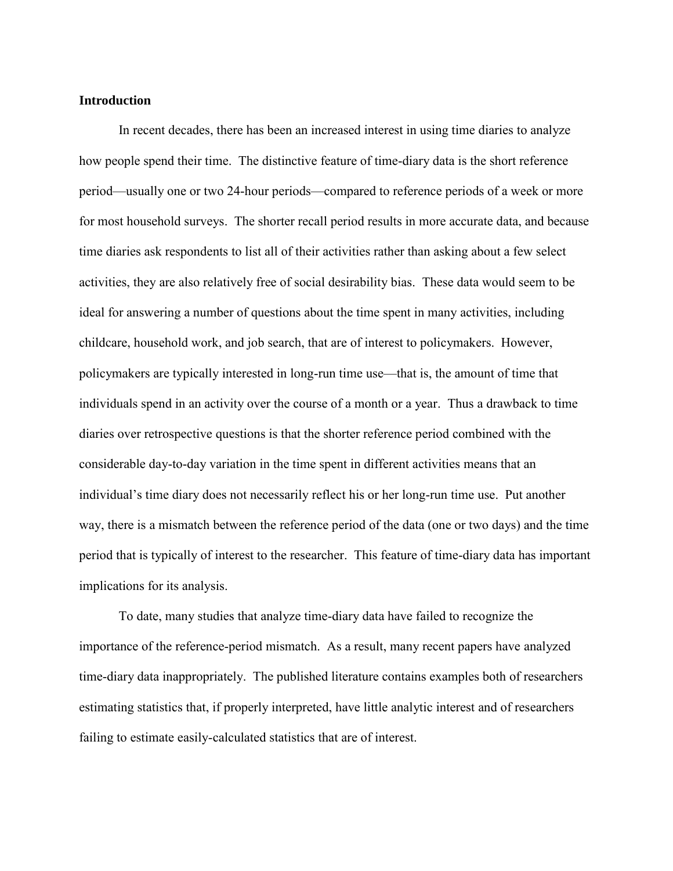## **Introduction**

In recent decades, there has been an increased interest in using time diaries to analyze how people spend their time. The distinctive feature of time-diary data is the short reference period—usually one or two 24-hour periods—compared to reference periods of a week or more for most household surveys. The shorter recall period results in more accurate data, and because time diaries ask respondents to list all of their activities rather than asking about a few select activities, they are also relatively free of social desirability bias. These data would seem to be ideal for answering a number of questions about the time spent in many activities, including childcare, household work, and job search, that are of interest to policymakers. However, policymakers are typically interested in long-run time use—that is, the amount of time that individuals spend in an activity over the course of a month or a year. Thus a drawback to time diaries over retrospective questions is that the shorter reference period combined with the considerable day-to-day variation in the time spent in different activities means that an individual's time diary does not necessarily reflect his or her long-run time use. Put another way, there is a mismatch between the reference period of the data (one or two days) and the time period that is typically of interest to the researcher. This feature of time-diary data has important implications for its analysis.

To date, many studies that analyze time-diary data have failed to recognize the importance of the reference-period mismatch. As a result, many recent papers have analyzed time-diary data inappropriately. The published literature contains examples both of researchers estimating statistics that, if properly interpreted, have little analytic interest and of researchers failing to estimate easily-calculated statistics that are of interest.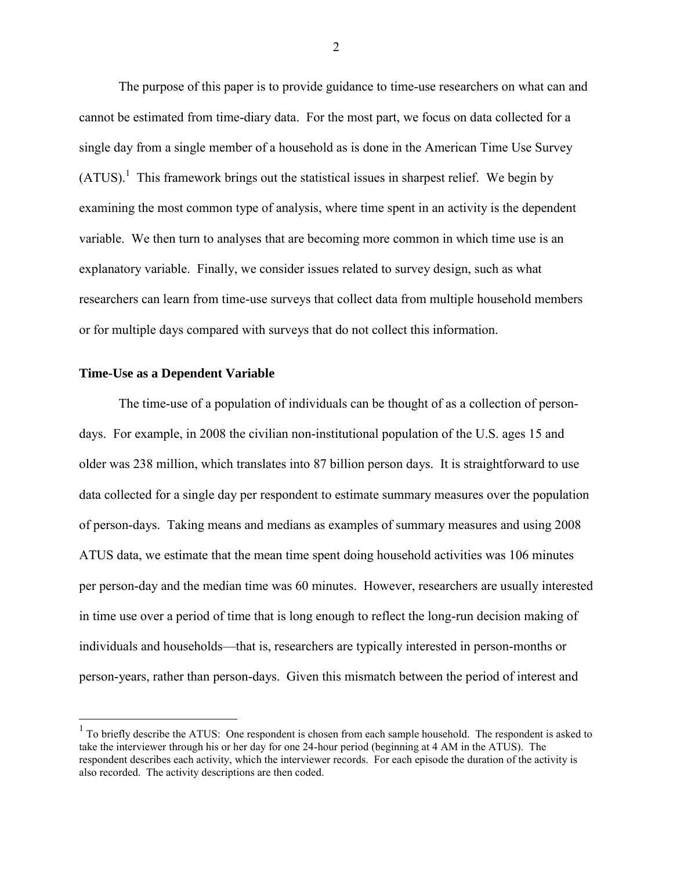The purpose of this paper is to provide guidance to time-use researchers on what can and cannot be estimated from time-diary data. For the most part, we focus on data collected for a single day from a single member of a household as is done in the American Time Use Survey  $(ATUS)^{1}$  This framework brings out the statistical issues in sharpest relief. We begin by examining the most common type of analysis, where time spent in an activity is the dependent variable. We then turn to analyses that are becoming more common in which time use is an explanatory variable. Finally, we consider issues related to survey design, such as what researchers can learn from time-use surveys that collect data from multiple household members or for multiple days compared with surveys that do not collect this information.

#### **Time-Use as a Dependent Variable**

 $\overline{a}$ 

The time-use of a population of individuals can be thought of as a collection of persondays. For example, in 2008 the civilian non-institutional population of the U.S. ages 15 and older was 238 million, which translates into 87 billion person days. It is straightforward to use data collected for a single day per respondent to estimate summary measures over the population of person-days. Taking means and medians as examples of summary measures and using 2008 ATUS data, we estimate that the mean time spent doing household activities was 106 minutes per person-day and the median time was 60 minutes. However, researchers are usually interested in time use over a period of time that is long enough to reflect the long-run decision making of individuals and households—that is, researchers are typically interested in person-months or person-years, rather than person-days. Given this mismatch between the period of interest and

 $<sup>1</sup>$  To briefly describe the ATUS: One respondent is chosen from each sample household. The respondent is asked to</sup> take the interviewer through his or her day for one 24-hour period (beginning at 4 AM in the ATUS). The respondent describes each activity, which the interviewer records. For each episode the duration of the activity is also recorded. The activity descriptions are then coded.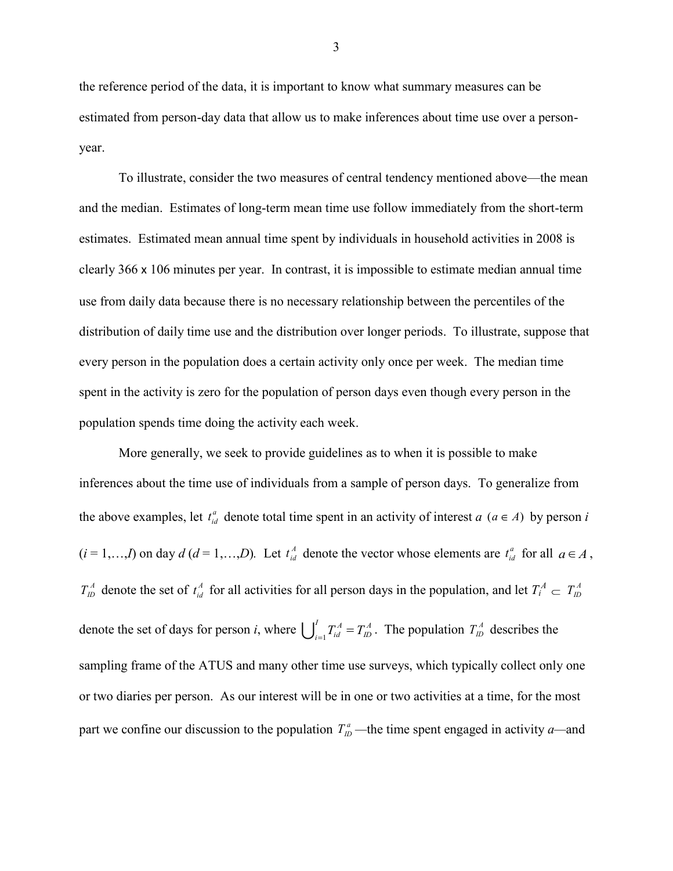the reference period of the data, it is important to know what summary measures can be estimated from person-day data that allow us to make inferences about time use over a personyear.

To illustrate, consider the two measures of central tendency mentioned above—the mean and the median. Estimates of long-term mean time use follow immediately from the short-term estimates. Estimated mean annual time spent by individuals in household activities in 2008 is clearly 366 x 106 minutes per year. In contrast, it is impossible to estimate median annual time use from daily data because there is no necessary relationship between the percentiles of the distribution of daily time use and the distribution over longer periods. To illustrate, suppose that every person in the population does a certain activity only once per week. The median time spent in the activity is zero for the population of person days even though every person in the population spends time doing the activity each week.

More generally, we seek to provide guidelines as to when it is possible to make inferences about the time use of individuals from a sample of person days. To generalize from the above examples, let  $t_{id}^a$  denote total time spent in an activity of interest *a* ( $a \in A$ ) by person *i*  $(i = 1, \ldots, I)$  on day  $d (d = 1, \ldots, D)$ . Let  $t_{id}^A$  denote the vector whose elements are  $t_{id}^a$  for all  $a \in A$ ,  $T_{1D}^A$  denote the set of  $t_{id}^A$  for all activities for all person days in the population, and let  $T_i^A \n\subset T_{1D}^A$ denote the set of days for person *i*, where  $\int_{-1}^{1} T_{id}^A = T_{ID}^A$ *ID I*  $\bigcup_{i=1}^{I} T_{id}^{A} = T_{ID}^{A}$ . The population  $T_{ID}^{A}$  describes the sampling frame of the ATUS and many other time use surveys, which typically collect only one or two diaries per person. As our interest will be in one or two activities at a time, for the most part we confine our discussion to the population  $T_{ID}^a$ —the time spent engaged in activity *a*—and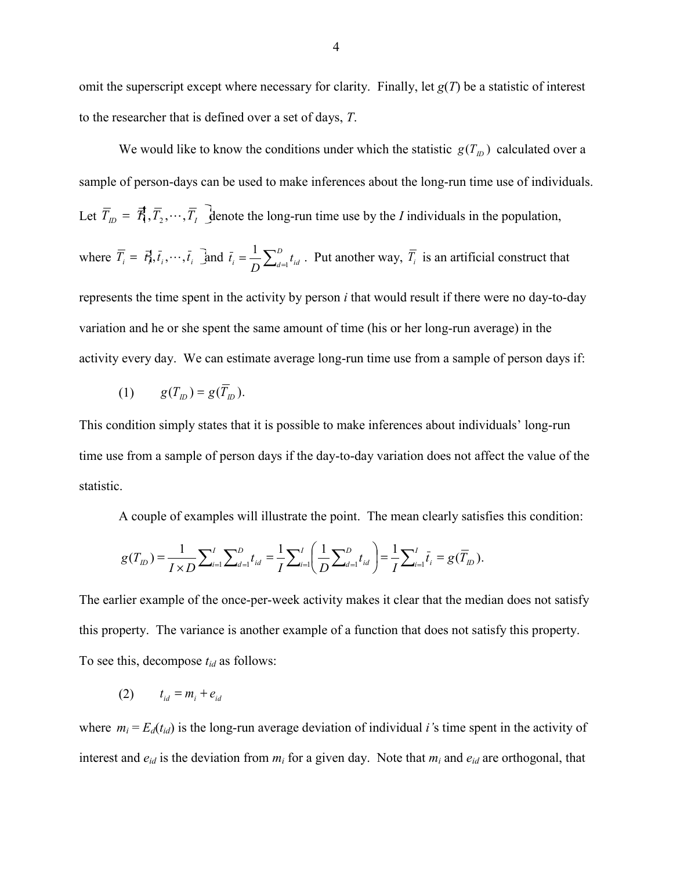omit the superscript except where necessary for clarity. Finally, let  $g(T)$  be a statistic of interest to the researcher that is defined over a set of days, *T*.

We would like to know the conditions under which the statistic  $g(T_D)$  calculated over a sample of person-days can be used to make inferences about the long-run time use of individuals. Let  $T_{ID} = \mathcal{R}_{1}, T_{2}, \cdots, T_{I}$  denote the long-run time use by the *I* individuals in the population, where  $\overline{T}_i = \overline{t}_i^1, \overline{t}_i, \dots, \overline{t}_i$  and  $\overline{t}_i = \frac{1}{D} \sum_{i=1}^D$  $\sum_{i=1}^{n} I_{id} = \sum_{i=1}^{n} t_{id}$  $\bar{t}_i = \frac{1}{D} \sum_{d=1}^{D}$  $\frac{1}{D} \sum_{i=1}^{D} t_{id}$ . Put another way,  $\overline{T_i}$  is an artificial construct that represents the time spent in the activity by person *i* that would result if there were no day-to-day variation and he or she spent the same amount of time (his or her long-run average) in the activity every day. We can estimate average long-run time use from a sample of person days if:

$$
(1) \qquad g(T_{ID}) = g(\overline{T}_{ID}).
$$

This condition simply states that it is possible to make inferences about individuals' long-run time use from a sample of person days if the day-to-day variation does not affect the value of the statistic.

A couple of examples will illustrate the point. The mean clearly satisfies this condition:

$$
g(T_{ID}) = \frac{1}{I \times D} \sum_{i=1}^{I} \sum_{d=1}^{D} t_{id} = \frac{1}{I} \sum_{i=1}^{I} \left( \frac{1}{D} \sum_{d=1}^{D} t_{id} \right) = \frac{1}{I} \sum_{i=1}^{I} \bar{t}_{i} = g(\overline{T}_{ID}).
$$

The earlier example of the once-per-week activity makes it clear that the median does not satisfy this property. The variance is another example of a function that does not satisfy this property. To see this, decompose *tid* as follows:

(2)  $t_{id} = m_i + e_{id}$ 

where  $m_i = E_d(t_{id})$  is the long-run average deviation of individual *i*'s time spent in the activity of interest and  $e_{id}$  is the deviation from  $m_i$  for a given day. Note that  $m_i$  and  $e_{id}$  are orthogonal, that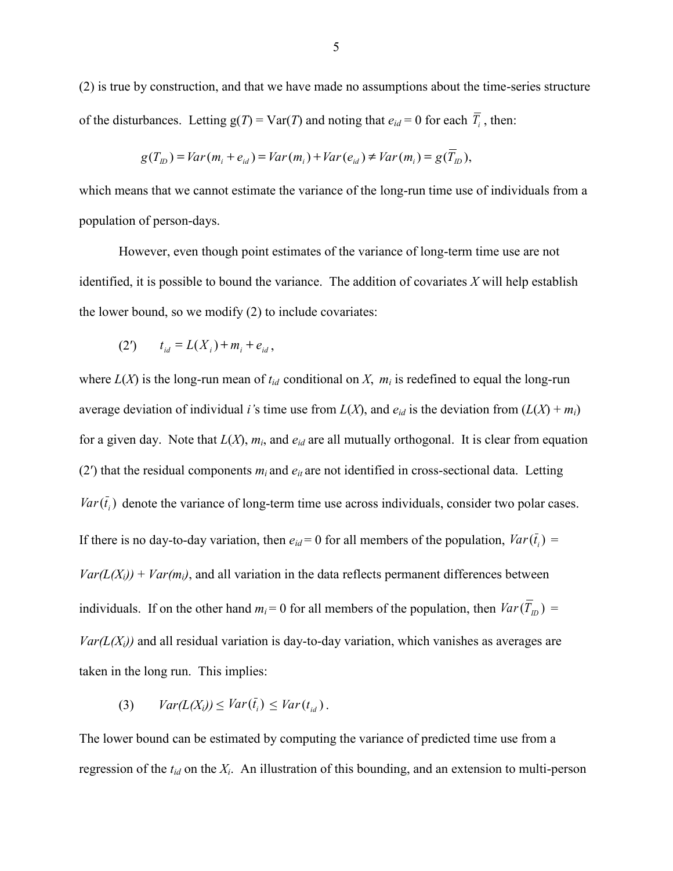(2) is true by construction, and that we have made no assumptions about the time-series structure of the disturbances. Letting  $g(T) = Var(T)$  and noting that  $e_{id} = 0$  for each  $T_i$ , then:

$$
g(T_{ID}) = Var(m_i + e_{id}) = Var(m_i) + Var(e_{id}) \neq Var(m_i) = g(\overline{T}_{ID}),
$$

which means that we cannot estimate the variance of the long-run time use of individuals from a population of person-days.

However, even though point estimates of the variance of long-term time use are not identified, it is possible to bound the variance. The addition of covariates *X* will help establish the lower bound, so we modify (2) to include covariates:

(2') 
$$
t_{id} = L(X_i) + m_i + e_{id}
$$
,

where  $L(X)$  is the long-run mean of  $t_{id}$  conditional on X,  $m_i$  is redefined to equal the long-run average deviation of individual *i*'s time use from  $L(X)$ , and  $e_{id}$  is the deviation from  $(L(X) + m_i)$ for a given day. Note that  $L(X)$ ,  $m_i$ , and  $e_{id}$  are all mutually orthogonal. It is clear from equation (2') that the residual components  $m_i$  and  $e_i$  are not identified in cross-sectional data. Letting  $Var(t_i)$  denote the variance of long-term time use across individuals, consider two polar cases. If there is no day-to-day variation, then  $e_{id} = 0$  for all members of the population,  $Var(t_i) =$  $Var(L(X_i))$  +  $Var(m_i)$ , and all variation in the data reflects permanent differences between individuals. If on the other hand  $m_i = 0$  for all members of the population, then  $Var(T_{ID}) =$  $Var(L(X_i))$  and all residual variation is day-to-day variation, which vanishes as averages are taken in the long run. This implies:

$$
(3) \quad Var(L(X_i)) \leq Var(\bar{t}_i) \leq Var(t_{id}).
$$

The lower bound can be estimated by computing the variance of predicted time use from a regression of the *tid* on the *X<sup>i</sup>* . An illustration of this bounding, and an extension to multi-person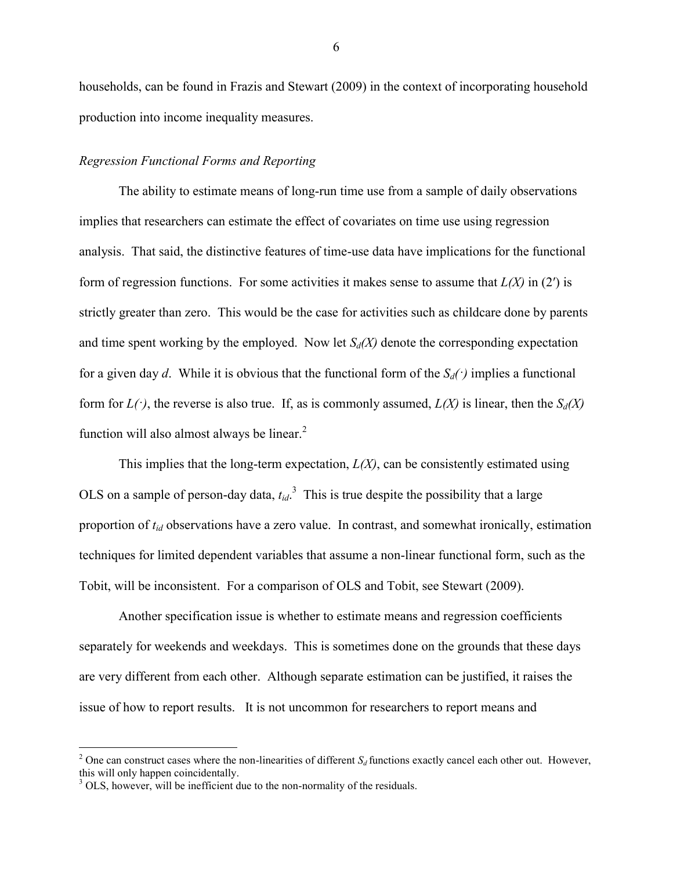households, can be found in Frazis and Stewart (2009) in the context of incorporating household production into income inequality measures.

## *Regression Functional Forms and Reporting*

The ability to estimate means of long-run time use from a sample of daily observations implies that researchers can estimate the effect of covariates on time use using regression analysis. That said, the distinctive features of time-use data have implications for the functional form of regression functions. For some activities it makes sense to assume that *L(X)* in (2′) is strictly greater than zero. This would be the case for activities such as childcare done by parents and time spent working by the employed. Now let  $S_d(X)$  denote the corresponding expectation for a given day *d*. While it is obvious that the functional form of the  $S_d(\cdot)$  implies a functional form for  $L(\cdot)$ , the reverse is also true. If, as is commonly assumed,  $L(X)$  is linear, then the  $S_d(X)$ function will also almost always be linear.<sup>2</sup>

This implies that the long-term expectation,  $L(X)$ , can be consistently estimated using OLS on a sample of person-day data,  $t_{id}$ <sup>3</sup>. This is true despite the possibility that a large proportion of *tid* observations have a zero value. In contrast, and somewhat ironically, estimation techniques for limited dependent variables that assume a non-linear functional form, such as the Tobit, will be inconsistent. For a comparison of OLS and Tobit, see Stewart (2009).

Another specification issue is whether to estimate means and regression coefficients separately for weekends and weekdays. This is sometimes done on the grounds that these days are very different from each other. Although separate estimation can be justified, it raises the issue of how to report results. It is not uncommon for researchers to report means and

 $\overline{a}$ 

<sup>&</sup>lt;sup>2</sup> One can construct cases where the non-linearities of different  $S_d$  functions exactly cancel each other out. However, this will only happen coincidentally.

 $3$  OLS, however, will be inefficient due to the non-normality of the residuals.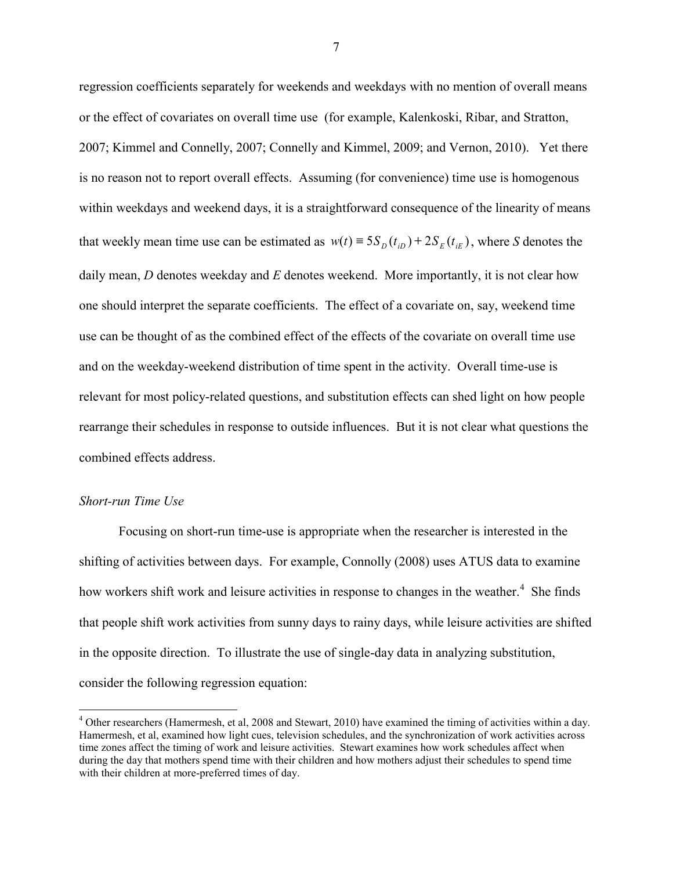regression coefficients separately for weekends and weekdays with no mention of overall means or the effect of covariates on overall time use (for example, Kalenkoski, Ribar, and Stratton, 2007; Kimmel and Connelly, 2007; Connelly and Kimmel, 2009; and Vernon, 2010). Yet there is no reason not to report overall effects. Assuming (for convenience) time use is homogenous within weekdays and weekend days, it is a straightforward consequence of the linearity of means that weekly mean time use can be estimated as  $w(t) = 5S_D(t_{iD}) + 2S_E(t_{iE})$ , where *S* denotes the daily mean, *D* denotes weekday and *E* denotes weekend. More importantly, it is not clear how one should interpret the separate coefficients. The effect of a covariate on, say, weekend time use can be thought of as the combined effect of the effects of the covariate on overall time use and on the weekday-weekend distribution of time spent in the activity. Overall time-use is relevant for most policy-related questions, and substitution effects can shed light on how people rearrange their schedules in response to outside influences. But it is not clear what questions the combined effects address.

## *Short-run Time Use*

 $\overline{a}$ 

Focusing on short-run time-use is appropriate when the researcher is interested in the shifting of activities between days. For example, Connolly (2008) uses ATUS data to examine how workers shift work and leisure activities in response to changes in the weather.<sup>4</sup> She finds that people shift work activities from sunny days to rainy days, while leisure activities are shifted in the opposite direction. To illustrate the use of single-day data in analyzing substitution, consider the following regression equation:

<sup>&</sup>lt;sup>4</sup> Other researchers (Hamermesh, et al, 2008 and Stewart, 2010) have examined the timing of activities within a day. Hamermesh, et al, examined how light cues, television schedules, and the synchronization of work activities across time zones affect the timing of work and leisure activities. Stewart examines how work schedules affect when during the day that mothers spend time with their children and how mothers adjust their schedules to spend time with their children at more-preferred times of day.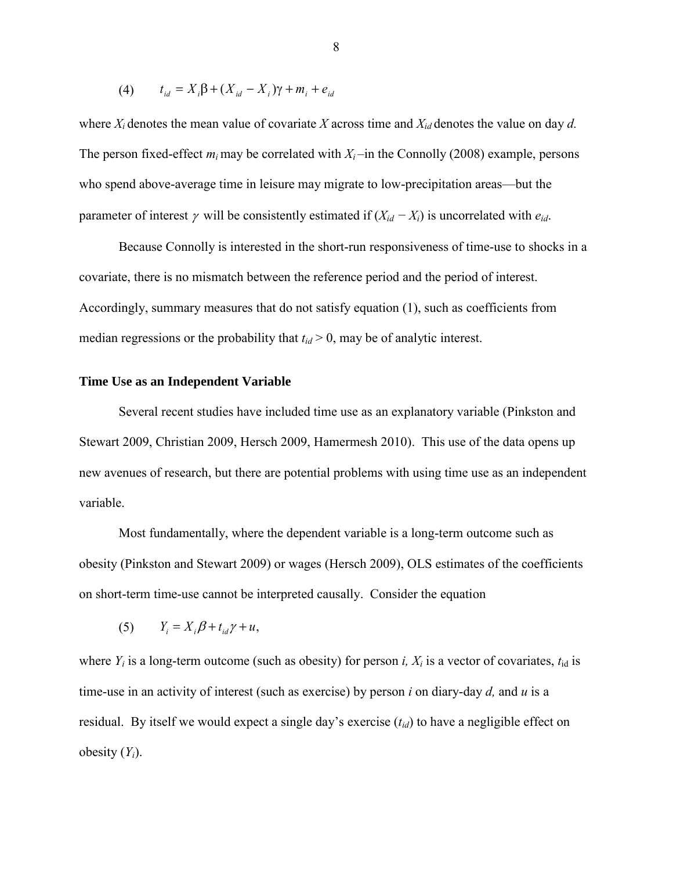(4) 
$$
t_{id} = X_i \beta + (X_{id} - X_i) \gamma + m_i + e_{id}
$$

where  $X_i$  denotes the mean value of covariate  $X$  across time and  $X_{id}$  denotes the value on day  $d$ . The person fixed-effect  $m_i$  may be correlated with  $X_i$  –in the Connolly (2008) example, persons who spend above-average time in leisure may migrate to low-precipitation areas—but the parameter of interest  $\gamma$  will be consistently estimated if  $(X_{id} - X_i)$  is uncorrelated with  $e_{id}$ .

Because Connolly is interested in the short-run responsiveness of time-use to shocks in a covariate, there is no mismatch between the reference period and the period of interest. Accordingly, summary measures that do not satisfy equation (1), such as coefficients from median regressions or the probability that  $t_{id} > 0$ , may be of analytic interest.

## **Time Use as an Independent Variable**

Several recent studies have included time use as an explanatory variable (Pinkston and Stewart 2009, Christian 2009, Hersch 2009, Hamermesh 2010). This use of the data opens up new avenues of research, but there are potential problems with using time use as an independent variable.

Most fundamentally, where the dependent variable is a long-term outcome such as obesity (Pinkston and Stewart 2009) or wages (Hersch 2009), OLS estimates of the coefficients on short-term time-use cannot be interpreted causally. Consider the equation

$$
(5) \t Y_i = X_i \beta + t_{id} \gamma + u,
$$

where  $Y_i$  is a long-term outcome (such as obesity) for person *i*,  $X_i$  is a vector of covariates,  $t_{id}$  is time-use in an activity of interest (such as exercise) by person *i* on diary-day *d,* and *u* is a residual. By itself we would expect a single day's exercise (*tid*) to have a negligible effect on obesity (*Yi*).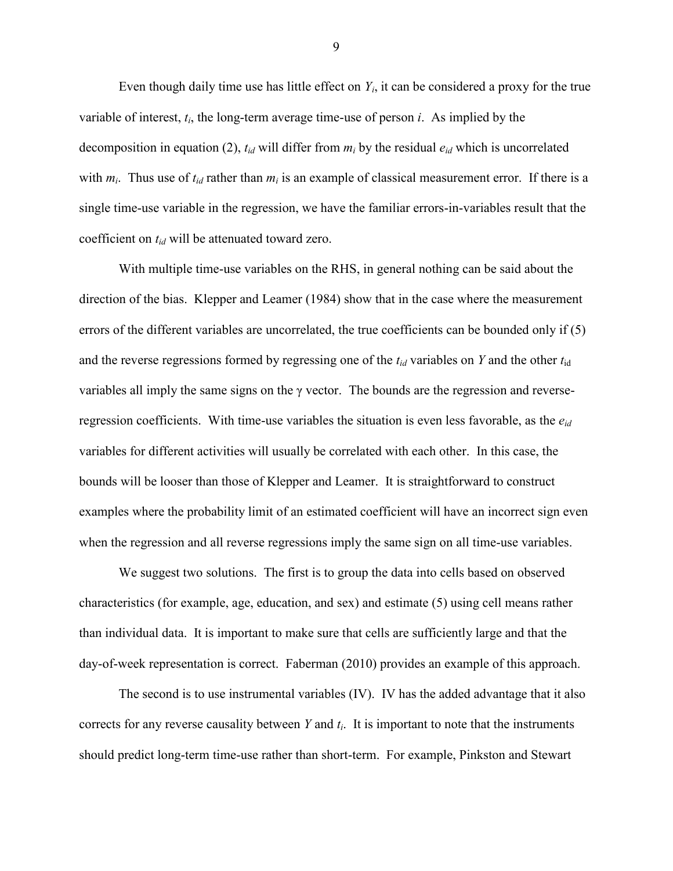Even though daily time use has little effect on  $Y_i$ , it can be considered a proxy for the true variable of interest,  $t_i$ , the long-term average time-use of person  $i$ . As implied by the decomposition in equation (2), *tid* will differ from *m<sup>i</sup>* by the residual *eid* which is uncorrelated with  $m_i$ . Thus use of  $t_{id}$  rather than  $m_i$  is an example of classical measurement error. If there is a single time-use variable in the regression, we have the familiar errors-in-variables result that the coefficient on *tid* will be attenuated toward zero.

With multiple time-use variables on the RHS, in general nothing can be said about the direction of the bias. Klepper and Leamer (1984) show that in the case where the measurement errors of the different variables are uncorrelated, the true coefficients can be bounded only if (5) and the reverse regressions formed by regressing one of the *tid* variables on *Y* and the other *t*id variables all imply the same signs on the γ vector. The bounds are the regression and reverseregression coefficients. With time-use variables the situation is even less favorable, as the *eid* variables for different activities will usually be correlated with each other. In this case, the bounds will be looser than those of Klepper and Leamer. It is straightforward to construct examples where the probability limit of an estimated coefficient will have an incorrect sign even when the regression and all reverse regressions imply the same sign on all time-use variables.

We suggest two solutions. The first is to group the data into cells based on observed characteristics (for example, age, education, and sex) and estimate (5) using cell means rather than individual data. It is important to make sure that cells are sufficiently large and that the day-of-week representation is correct. Faberman (2010) provides an example of this approach.

The second is to use instrumental variables (IV). IV has the added advantage that it also corrects for any reverse causality between *Y* and *t<sup>i</sup>* . It is important to note that the instruments should predict long-term time-use rather than short-term. For example, Pinkston and Stewart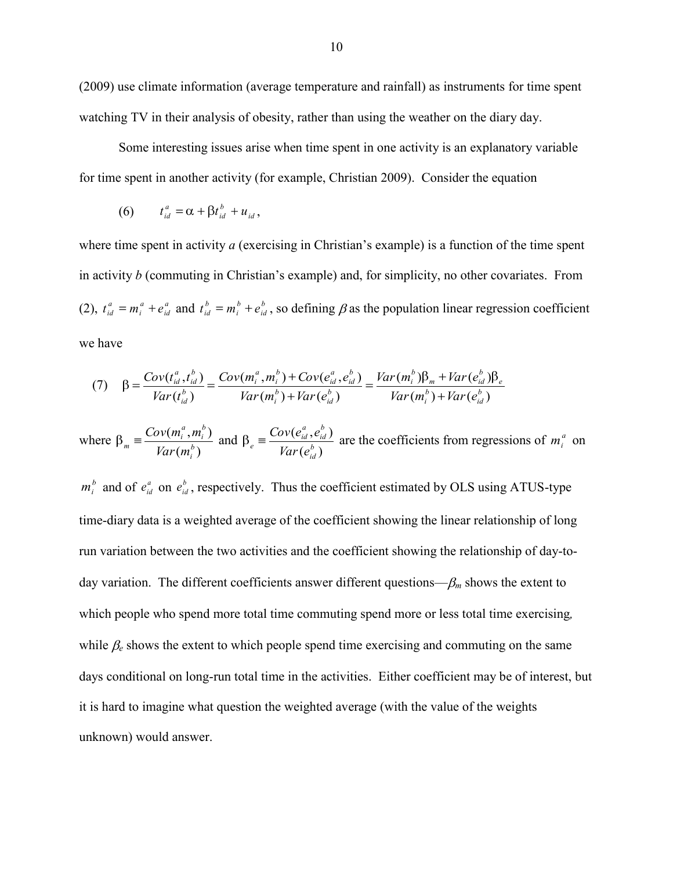(2009) use climate information (average temperature and rainfall) as instruments for time spent watching TV in their analysis of obesity, rather than using the weather on the diary day.

Some interesting issues arise when time spent in one activity is an explanatory variable for time spent in another activity (for example, Christian 2009). Consider the equation

$$
(6) \t t_{id}^a = \alpha + \beta t_{id}^b + u_{id},
$$

where time spent in activity *a* (exercising in Christian's example) is a function of the time spent in activity *b* (commuting in Christian's example) and, for simplicity, no other covariates. From  $(2)$ ,  $t_{id}^a = m_i^a + e_{ia}^a$ *id a i*  $t_{id}^a = m_i^a + e_{id}^a$  and  $t_{id}^b = m_i^b + e_{id}^b$ *id b i*  $t_{id}^b = m_i^b + e_{id}^b$ , so defining  $\beta$  as the population linear regression coefficient we have

$$
(7) \quad \beta = \frac{Cov(t_{id}^a, t_{id}^b)}{Var(t_{id}^b)} = \frac{Cov(m_i^a, m_i^b) + Cov(e_{id}^a, e_{id}^b)}{Var(m_i^b) + Var(e_{id}^b)} = \frac{Var(m_i^b)\beta_m + Var(e_{id}^b)\beta_e}{Var(m_i^b) + Var(e_{id}^b)}
$$

where  $(m_i^b)$  $(m_i^a,m_i^b)$ *b i b i a*  $\sum_{m}$  =  $\frac{Cov(m_i, m_i)}{Var(m_i)}$  $\frac{Cov(m_i^a, m_i^b)}{Cov(m_i^b, m_i^b)}$  and  $(e_{id}^b)$  $(e_{id}^a,e_{id}^b)$ *b id b id a*  $e^{i\theta} = \frac{Cov(e_{id})}{Var(e)}$  $\frac{Cov(e_{id}^a, e_{id}^b)}{E(e_{id}^b)}$  are the coefficients from regressions of  $m_i^a$  on

 $m_i^b$  and of  $e_{id}^a$  on  $e_{id}^b$ , respectively. Thus the coefficient estimated by OLS using ATUS-type time-diary data is a weighted average of the coefficient showing the linear relationship of long run variation between the two activities and the coefficient showing the relationship of day-today variation. The different coefficients answer different questions— $\beta_m$  shows the extent to which people who spend more total time commuting spend more or less total time exercising*,*  while  $\beta_e$  shows the extent to which people spend time exercising and commuting on the same days conditional on long-run total time in the activities. Either coefficient may be of interest, but it is hard to imagine what question the weighted average (with the value of the weights unknown) would answer.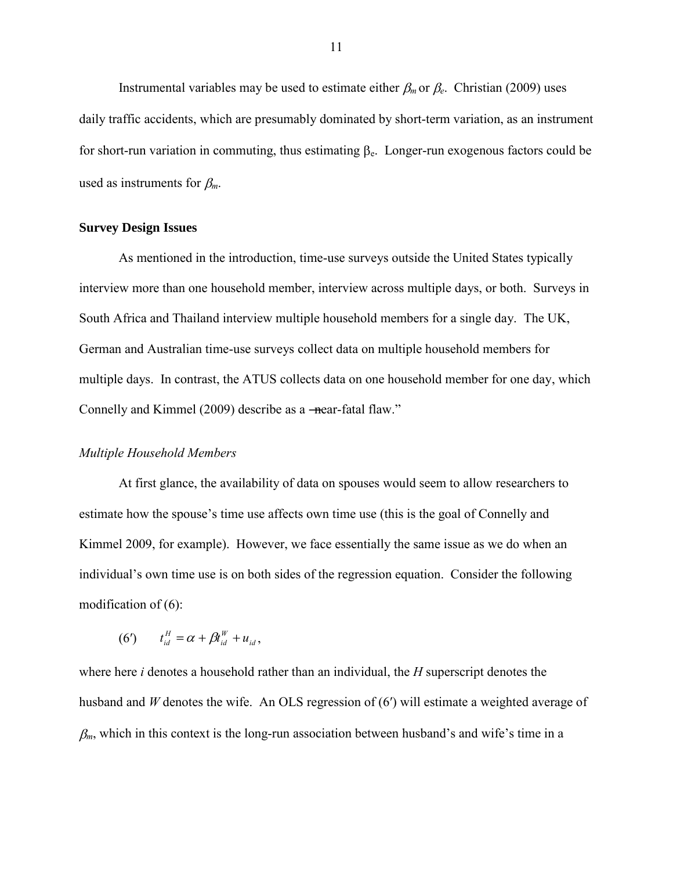Instrumental variables may be used to estimate either  $\beta_m$  or  $\beta_e$ . Christian (2009) uses daily traffic accidents, which are presumably dominated by short-term variation, as an instrument for short-run variation in commuting, thus estimating  $\beta_e$ . Longer-run exogenous factors could be used as instruments for  $\beta_m$ .

## **Survey Design Issues**

As mentioned in the introduction, time-use surveys outside the United States typically interview more than one household member, interview across multiple days, or both. Surveys in South Africa and Thailand interview multiple household members for a single day. The UK, German and Australian time-use surveys collect data on multiple household members for multiple days. In contrast, the ATUS collects data on one household member for one day, which Connelly and Kimmel (2009) describe as a —near-fatal flaw."

#### *Multiple Household Members*

At first glance, the availability of data on spouses would seem to allow researchers to estimate how the spouse's time use affects own time use (this is the goal of Connelly and Kimmel 2009, for example). However, we face essentially the same issue as we do when an individual's own time use is on both sides of the regression equation. Consider the following modification of (6):

$$
(6') \qquad t_{id}^H = \alpha + \beta t_{id}^W + u_{id},
$$

where here *i* denotes a household rather than an individual, the *H* superscript denotes the husband and *W* denotes the wife. An OLS regression of (6′) will estimate a weighted average of  $\beta_m$ , which in this context is the long-run association between husband's and wife's time in a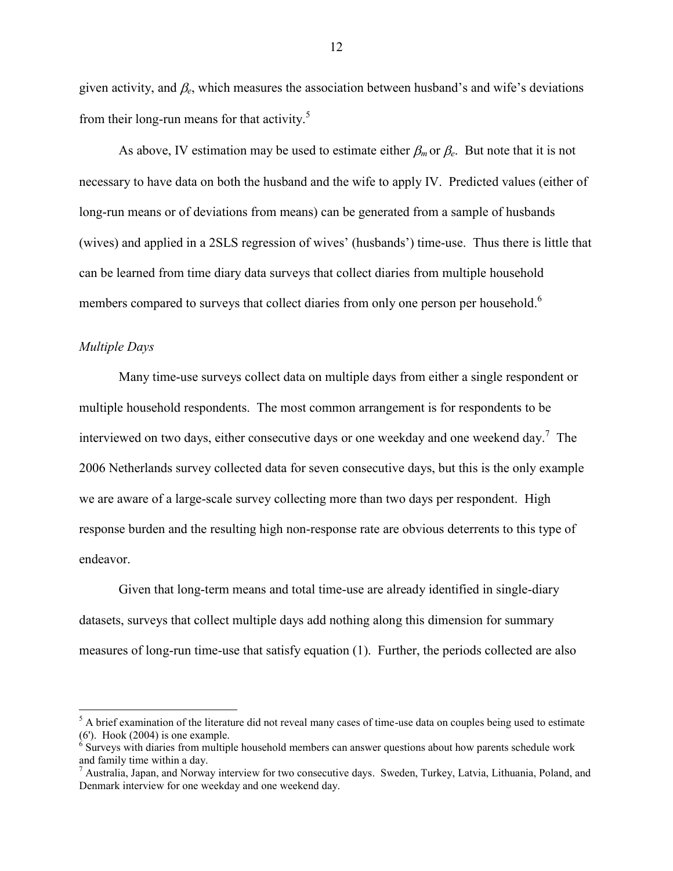given activity, and  $\beta_e$ , which measures the association between husband's and wife's deviations from their long-run means for that activity.<sup>5</sup>

As above, IV estimation may be used to estimate either  $\beta_m$  or  $\beta_e$ . But note that it is not necessary to have data on both the husband and the wife to apply IV. Predicted values (either of long-run means or of deviations from means) can be generated from a sample of husbands (wives) and applied in a 2SLS regression of wives' (husbands') time-use. Thus there is little that can be learned from time diary data surveys that collect diaries from multiple household members compared to surveys that collect diaries from only one person per household.<sup>6</sup>

### *Multiple Days*

 $\overline{a}$ 

Many time-use surveys collect data on multiple days from either a single respondent or multiple household respondents. The most common arrangement is for respondents to be interviewed on two days, either consecutive days or one weekday and one weekend day.<sup>7</sup> The 2006 Netherlands survey collected data for seven consecutive days, but this is the only example we are aware of a large-scale survey collecting more than two days per respondent. High response burden and the resulting high non-response rate are obvious deterrents to this type of endeavor.

Given that long-term means and total time-use are already identified in single-diary datasets, surveys that collect multiple days add nothing along this dimension for summary measures of long-run time-use that satisfy equation (1). Further, the periods collected are also

 $<sup>5</sup>$  A brief examination of the literature did not reveal many cases of time-use data on couples being used to estimate</sup> (6'). Hook (2004) is one example.

<sup>&</sup>lt;sup>6</sup> Surveys with diaries from multiple household members can answer questions about how parents schedule work and family time within a day.<br><sup>7</sup> Australia, Japan, and Norway interview for two consecutive days. Sweden, Turkey, Latvia, Lithuania, Poland, and

Denmark interview for one weekday and one weekend day.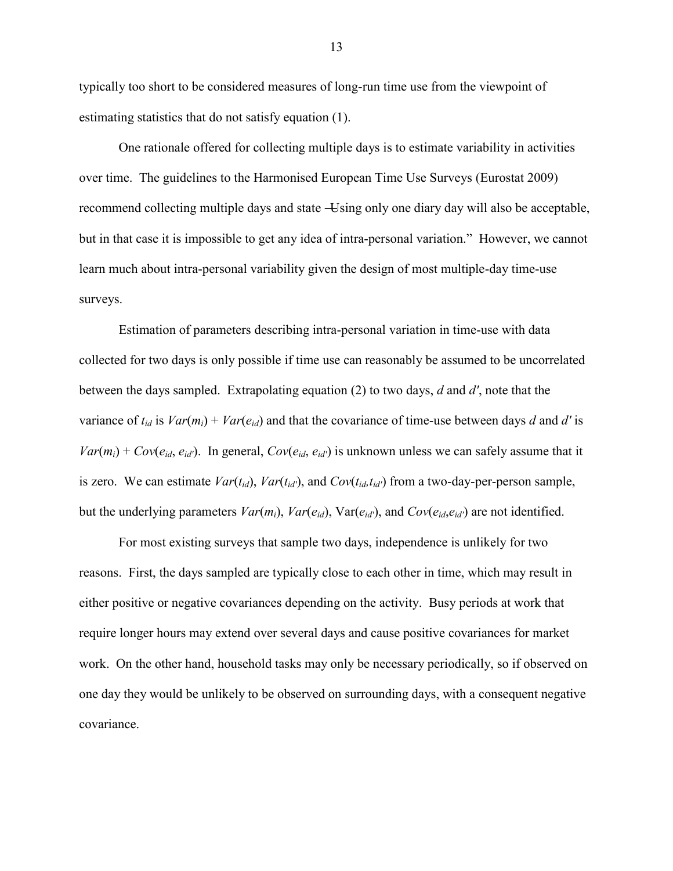typically too short to be considered measures of long-run time use from the viewpoint of estimating statistics that do not satisfy equation (1).

One rationale offered for collecting multiple days is to estimate variability in activities over time. The guidelines to the Harmonised European Time Use Surveys (Eurostat 2009) recommend collecting multiple days and state —Using only one diary day will also be acceptable, but in that case it is impossible to get any idea of intra-personal variation." However, we cannot learn much about intra-personal variability given the design of most multiple-day time-use surveys.

Estimation of parameters describing intra-personal variation in time-use with data collected for two days is only possible if time use can reasonably be assumed to be uncorrelated between the days sampled. Extrapolating equation (2) to two days, *d* and *d′*, note that the variance of  $t_{id}$  is  $Var(m_i) + Var(e_{id})$  and that the covariance of time-use between days *d* and *d'* is  $Var(m_i) + Cov(e_{id}, e_{id'})$ . In general,  $Cov(e_{id}, e_{id'})$  is unknown unless we can safely assume that it is zero. We can estimate  $Var(t_{id})$ ,  $Var(t_{id'})$ , and  $Cov(t_{id}, t_{id'})$  from a two-day-per-person sample, but the underlying parameters  $Var(m_i)$ ,  $Var(e_{id})$ ,  $Var(e_{id'})$ , and  $Cov(e_{id}, e_{id'})$  are not identified.

For most existing surveys that sample two days, independence is unlikely for two reasons. First, the days sampled are typically close to each other in time, which may result in either positive or negative covariances depending on the activity. Busy periods at work that require longer hours may extend over several days and cause positive covariances for market work. On the other hand, household tasks may only be necessary periodically, so if observed on one day they would be unlikely to be observed on surrounding days, with a consequent negative covariance.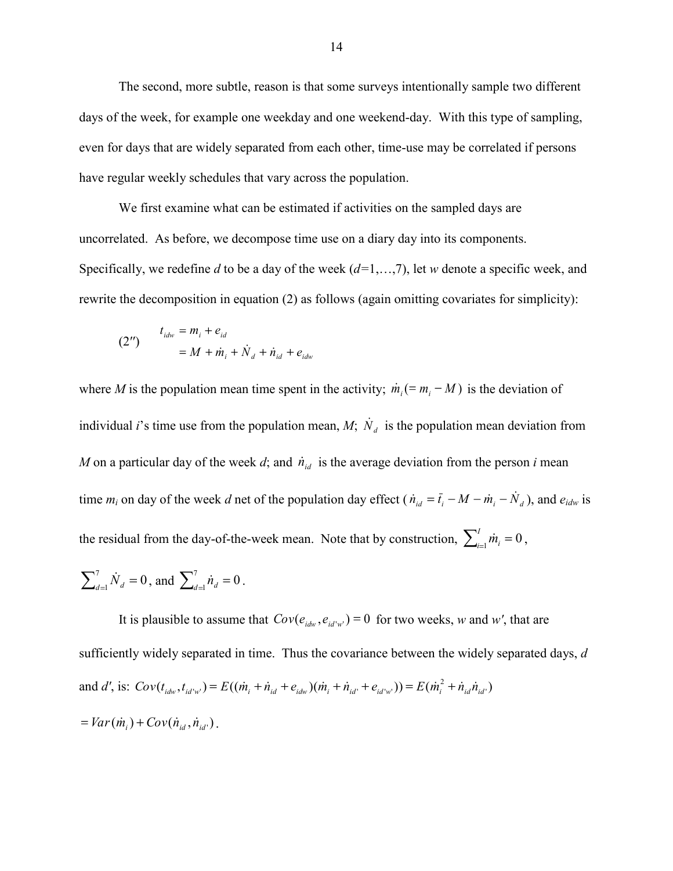The second, more subtle, reason is that some surveys intentionally sample two different days of the week, for example one weekday and one weekend-day. With this type of sampling, even for days that are widely separated from each other, time-use may be correlated if persons have regular weekly schedules that vary across the population.

We first examine what can be estimated if activities on the sampled days are uncorrelated. As before, we decompose time use on a diary day into its components. Specifically, we redefine *d* to be a day of the week (*d=*1,…,7), let *w* denote a specific week, and rewrite the decomposition in equation (2) as follows (again omitting covariates for simplicity):

(2") 
$$
t_{idw} = m_i + e_{id}
$$

$$
= M + \dot{m}_i + \dot{N}_d + \dot{n}_{id} + e_{idw}
$$

where *M* is the population mean time spent in the activity;  $\dot{m}_i (= m_i - M)$  is the deviation of individual *i*'s time use from the population mean, *M*;  $\dot{N}_d$  is the population mean deviation from *M* on a particular day of the week *d*; and  $\dot{n}_{id}$  is the average deviation from the person *i* mean time  $m_i$  on day of the week *d* net of the population day effect ( $\dot{n}_{id} = \bar{t}_i - M - \dot{m}_i - \dot{N}_d$ ), and  $e_{idw}$  is the residual from the day-of-the-week mean. Note that by construction,  $\sum_{i=1}^{n} m_i = 0$ *I*  $\dot{m}$ <sub>*i*=1</sub> $\dot{m}$ <sub>*i*</sub> = 0,

$$
\sum_{d=1}^{7} \dot{N}_d = 0, \text{ and } \sum_{d=1}^{7} \dot{n}_d = 0.
$$

It is plausible to assume that  $Cov(e_{i d w}, e_{i d' w'}) = 0$  for two weeks, *w* and *w'*, that are sufficiently widely separated in time. Thus the covariance between the widely separated days, *d*  and d', is:  $Cov(t_{idw}, t_{id'w}) = E((\dot{m}_i + \dot{n}_{id} + e_{idw})(\dot{m}_i + \dot{n}_{id'} + e_{id'w})) = E(\dot{m}_i^2 + \dot{n}_{id} \dot{n}_{id'})$  $Cov(t_{idw}, t_{id'w'}) = E((\dot{m}_i + \dot{n}_{id} + e_{idw})(\dot{m}_i + \dot{n}_{id'} + e_{id'w'})) = E(\dot{m}_i^2 + \dot{n}_{id}\dot{n}_{id'})$  $Var(\dot{m}_i) + Cov(\dot{n}_{id}, \dot{n}_{id})$ .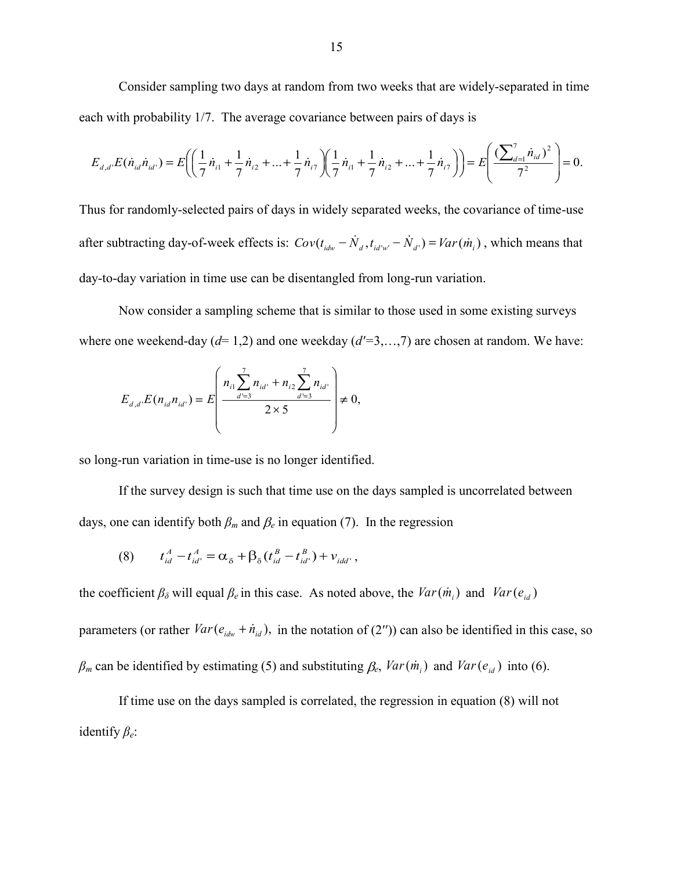Consider sampling two days at random from two weeks that are widely-separated in time each with probability 1/7. The average covariance between pairs of days is

$$
E_{d,d'}E(\dot{n}_{id}\dot{n}_{id'}) = E\left(\left(\frac{1}{7}\dot{n}_{i1} + \frac{1}{7}\dot{n}_{i2} + \dots + \frac{1}{7}\dot{n}_{i7}\right)\left(\frac{1}{7}\dot{n}_{i1} + \frac{1}{7}\dot{n}_{i2} + \dots + \frac{1}{7}\dot{n}_{i7}\right)\right) = E\left(\frac{(\sum_{d=1}^{7} \dot{n}_{id})^2}{7^2}\right) = 0.
$$

Thus for randomly-selected pairs of days in widely separated weeks, the covariance of time-use after subtracting day-of-week effects is:  $Cov(t_{idw} - \dot{N}_d, t_{id'w'} - \dot{N}_d) = Var(\dot{m}_i)$ , which means that day-to-day variation in time use can be disentangled from long-run variation.

Now consider a sampling scheme that is similar to those used in some existing surveys where one weekend-day ( $d= 1,2$ ) and one weekday ( $d'=3,...,7$ ) are chosen at random. We have:

$$
E_{d,d'}E(n_{id}n_{id'}) = E\left(\frac{n_{i1}\sum_{d'=3}^{7}n_{id'} + n_{i2}\sum_{d'=3}^{7}n_{id'}}{2\times 5}\right) \neq 0,
$$

so long-run variation in time-use is no longer identified.

If the survey design is such that time use on the days sampled is uncorrelated between days, one can identify both  $\beta_m$  and  $\beta_e$  in equation (7). In the regression

(8) 
$$
t_{id}^A - t_{id'}^A = \alpha_\delta + \beta_\delta (t_{id}^B - t_{id'}^B) + v_{idd'},
$$

the coefficient  $\beta_{\delta}$  will equal  $\beta_{e}$  in this case. As noted above, the  $Var(\dot{m}_i)$  and  $Var(e_{id})$ parameters (or rather  $Var(e_{idw} + \dot{n}_{id})$ , in the notation of (2'')) can also be identified in this case, so  $\beta_m$  can be identified by estimating (5) and substituting  $\beta_e$ ,  $Var(\dot{m}_i)$  and  $Var(e_{id})$  into (6).

If time use on the days sampled is correlated, the regression in equation (8) will not identify *βe*: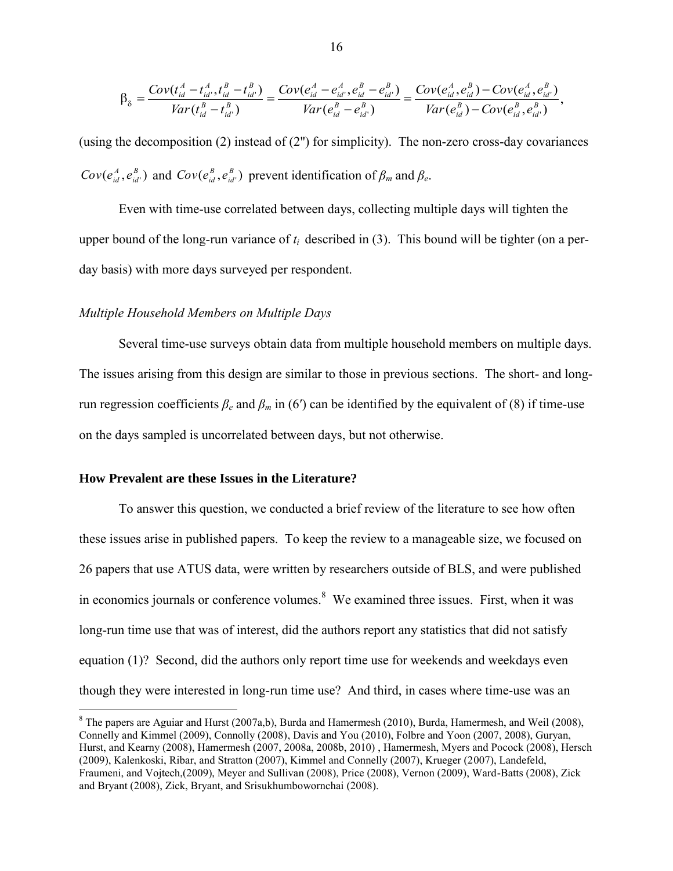$$
\beta_{\delta} = \frac{Cov(t_{id}^{A} - t_{id}^{A}, t_{id}^{B} - t_{id}^{B})}{Var(t_{id}^{B} - t_{id}^{B})} = \frac{Cov(e_{id}^{A} - e_{id}^{A}, e_{id}^{B} - e_{id}^{B})}{Var(e_{id}^{B} - e_{id}^{B})} = \frac{Cov(e_{id}^{A}, e_{id}^{B}) - Cov(e_{id}^{A}, e_{id}^{B})}{Var(e_{id}^{B}) - Cov(e_{id}^{B}, e_{id}^{B})},
$$

(using the decomposition (2) instead of (2'') for simplicity). The non-zero cross-day covariances  $(e_{id}^A, e_{id'}^B)$ *id*  $Cov(e_{id}^A, e_{id'}^B)$  and  $Cov(e_{id}^B, e_{id'}^B)$ *id*  $Cov(e_{id}^B, e_{id}^B)$  prevent identification of  $\beta_m$  and  $\beta_e$ .

Even with time-use correlated between days, collecting multiple days will tighten the upper bound of the long-run variance of  $t_i$  described in (3). This bound will be tighter (on a perday basis) with more days surveyed per respondent.

#### *Multiple Household Members on Multiple Days*

Several time-use surveys obtain data from multiple household members on multiple days. The issues arising from this design are similar to those in previous sections. The short- and longrun regression coefficients  $\beta_e$  and  $\beta_m$  in (6<sup>'</sup>) can be identified by the equivalent of (8) if time-use on the days sampled is uncorrelated between days, but not otherwise.

## **How Prevalent are these Issues in the Literature?**

 $\overline{a}$ 

To answer this question, we conducted a brief review of the literature to see how often these issues arise in published papers. To keep the review to a manageable size, we focused on 26 papers that use ATUS data, were written by researchers outside of BLS, and were published in economics journals or conference volumes. $8$  We examined three issues. First, when it was long-run time use that was of interest, did the authors report any statistics that did not satisfy equation (1)? Second, did the authors only report time use for weekends and weekdays even though they were interested in long-run time use? And third, in cases where time-use was an

 $8$  The papers are Aguiar and Hurst (2007a,b), Burda and Hamermesh (2010), Burda, Hamermesh, and Weil (2008), Connelly and Kimmel (2009), Connolly (2008), Davis and You (2010), Folbre and Yoon (2007, 2008), Guryan, Hurst, and Kearny (2008), Hamermesh (2007, 2008a, 2008b, 2010) , Hamermesh, Myers and Pocock (2008), Hersch (2009), Kalenkoski, Ribar, and Stratton (2007), Kimmel and Connelly (2007), Krueger (2007), Landefeld, Fraumeni, and Vojtech,(2009), Meyer and Sullivan (2008), Price (2008), Vernon (2009), Ward-Batts (2008), Zick and Bryant (2008), Zick, Bryant, and Srisukhumbowornchai (2008).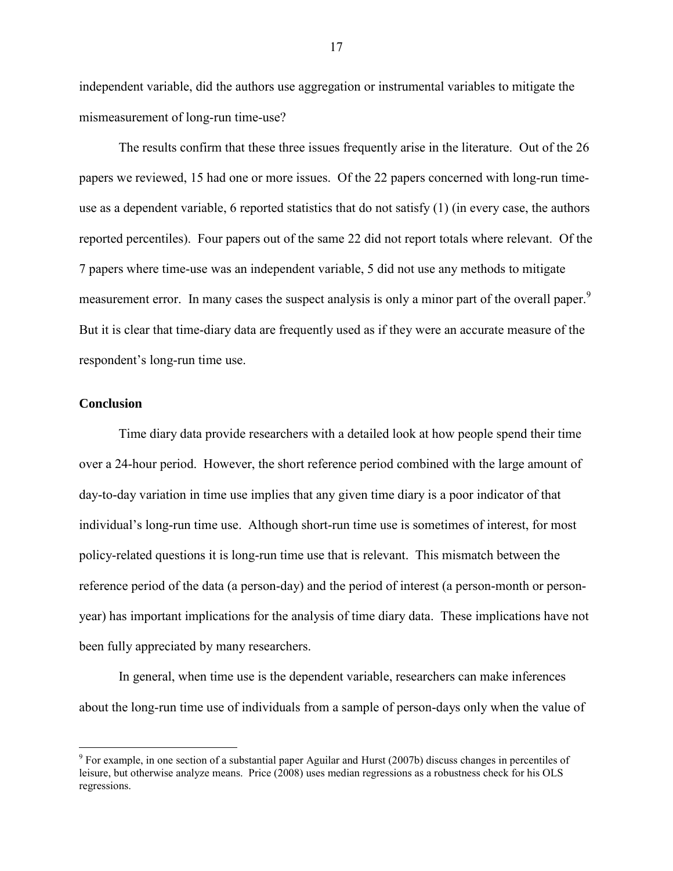independent variable, did the authors use aggregation or instrumental variables to mitigate the mismeasurement of long-run time-use?

The results confirm that these three issues frequently arise in the literature. Out of the 26 papers we reviewed, 15 had one or more issues. Of the 22 papers concerned with long-run timeuse as a dependent variable, 6 reported statistics that do not satisfy (1) (in every case, the authors reported percentiles). Four papers out of the same 22 did not report totals where relevant. Of the 7 papers where time-use was an independent variable, 5 did not use any methods to mitigate measurement error. In many cases the suspect analysis is only a minor part of the overall paper.<sup>9</sup> But it is clear that time-diary data are frequently used as if they were an accurate measure of the respondent's long-run time use.

## **Conclusion**

 $\overline{a}$ 

Time diary data provide researchers with a detailed look at how people spend their time over a 24-hour period. However, the short reference period combined with the large amount of day-to-day variation in time use implies that any given time diary is a poor indicator of that individual's long-run time use. Although short-run time use is sometimes of interest, for most policy-related questions it is long-run time use that is relevant. This mismatch between the reference period of the data (a person-day) and the period of interest (a person-month or personyear) has important implications for the analysis of time diary data. These implications have not been fully appreciated by many researchers.

In general, when time use is the dependent variable, researchers can make inferences about the long-run time use of individuals from a sample of person-days only when the value of

<sup>&</sup>lt;sup>9</sup> For example, in one section of a substantial paper Aguilar and Hurst (2007b) discuss changes in percentiles of leisure, but otherwise analyze means. Price (2008) uses median regressions as a robustness check for his OLS regressions.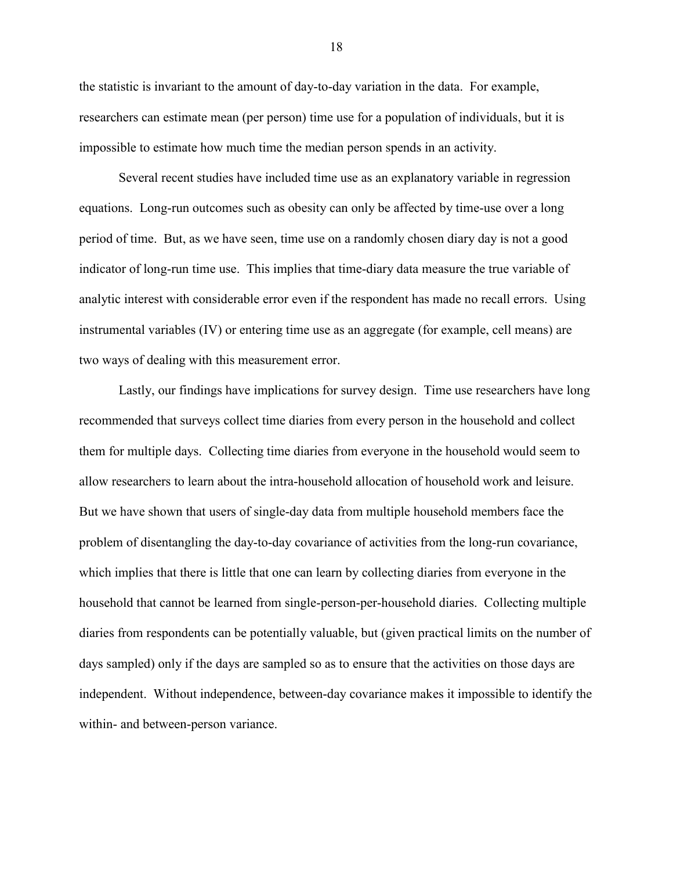the statistic is invariant to the amount of day-to-day variation in the data. For example, researchers can estimate mean (per person) time use for a population of individuals, but it is impossible to estimate how much time the median person spends in an activity.

Several recent studies have included time use as an explanatory variable in regression equations. Long-run outcomes such as obesity can only be affected by time-use over a long period of time. But, as we have seen, time use on a randomly chosen diary day is not a good indicator of long-run time use. This implies that time-diary data measure the true variable of analytic interest with considerable error even if the respondent has made no recall errors. Using instrumental variables (IV) or entering time use as an aggregate (for example, cell means) are two ways of dealing with this measurement error.

Lastly, our findings have implications for survey design. Time use researchers have long recommended that surveys collect time diaries from every person in the household and collect them for multiple days. Collecting time diaries from everyone in the household would seem to allow researchers to learn about the intra-household allocation of household work and leisure. But we have shown that users of single-day data from multiple household members face the problem of disentangling the day-to-day covariance of activities from the long-run covariance, which implies that there is little that one can learn by collecting diaries from everyone in the household that cannot be learned from single-person-per-household diaries. Collecting multiple diaries from respondents can be potentially valuable, but (given practical limits on the number of days sampled) only if the days are sampled so as to ensure that the activities on those days are independent. Without independence, between-day covariance makes it impossible to identify the within- and between-person variance.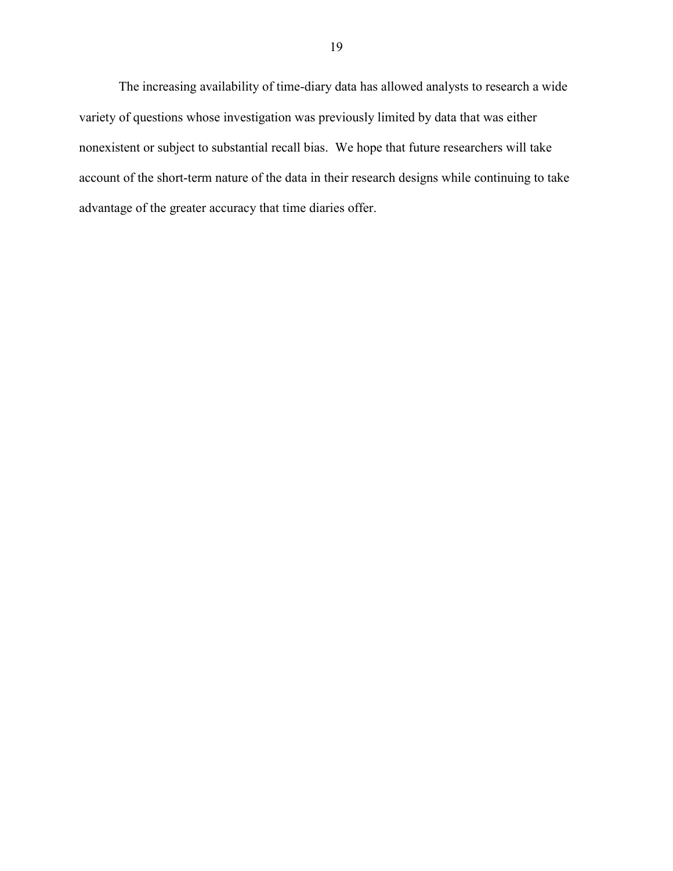The increasing availability of time-diary data has allowed analysts to research a wide variety of questions whose investigation was previously limited by data that was either nonexistent or subject to substantial recall bias. We hope that future researchers will take account of the short-term nature of the data in their research designs while continuing to take advantage of the greater accuracy that time diaries offer.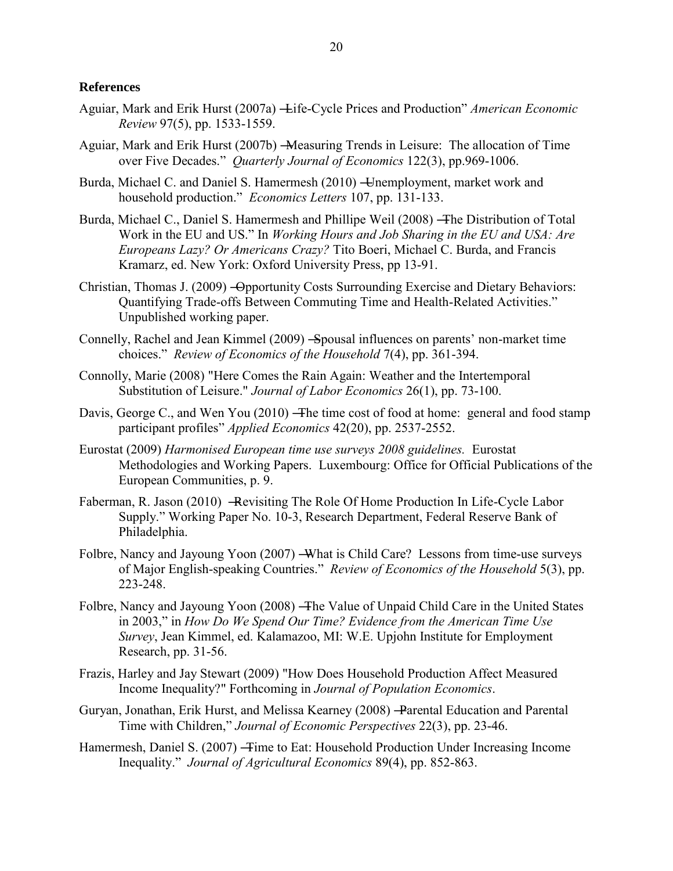## **References**

- Aguiar, Mark and Erik Hurst (2007a) <del>- L</del>ife-Cycle Prices and Production" *American Economic Review* 97(5), pp. 1533-1559.
- Aguiar, Mark and Erik Hurst (2007b) Measuring Trends in Leisure: The allocation of Time over Five Decades." *Quarterly Journal of Economics* 122(3), pp.969-1006.
- Burda, Michael C. and Daniel S. Hamermesh (2010) Unemployment, market work and household production." *Economics Letters* 107, pp. 131-133.
- Burda, Michael C., Daniel S. Hamermesh and Phillipe Weil (2008) ―The Distribution of Total Work in the EU and US." In *Working Hours and Job Sharing in the EU and USA: Are Europeans Lazy? Or Americans Crazy?* Tito Boeri, Michael C. Burda, and Francis Kramarz, ed. New York: Oxford University Press, pp 13-91.
- Christian, Thomas J. (2009) ―Opportunity Costs Surrounding Exercise and Dietary Behaviors: Quantifying Trade-offs Between Commuting Time and Health-Related Activities." Unpublished working paper.
- Connelly, Rachel and Jean Kimmel (2009) ―Spousal influences on parents' non-market time choices.‖ *Review of Economics of the Household* 7(4), pp. 361-394.
- Connolly, Marie (2008) "Here Comes the Rain Again: Weather and the Intertemporal Substitution of Leisure." *Journal of Labor Economics* 26(1), pp. 73-100.
- Davis, George C., and Wen You (2010) The time cost of food at home: general and food stamp participant profiles" *Applied Economics* 42(20), pp. 2537-2552.
- Eurostat (2009) *Harmonised European time use surveys 2008 guidelines.* Eurostat Methodologies and Working Papers. Luxembourg: Office for Official Publications of the European Communities, p. 9.
- Faberman, R. Jason (2010) Revisiting The Role Of Home Production In Life-Cycle Labor Supply." Working Paper No. 10-3, Research Department, Federal Reserve Bank of Philadelphia.
- Folbre, Nancy and Jayoung Yoon (2007) What is Child Care? Lessons from time-use surveys of Major English-speaking Countries.‖ *Review of Economics of the Household* 5(3), pp. 223-248.
- Folbre, Nancy and Jayoung Yoon (2008) The Value of Unpaid Child Care in the United States in 2003," in *How Do We Spend Our Time? Evidence from the American Time Use Survey*, Jean Kimmel, ed. Kalamazoo, MI: W.E. Upjohn Institute for Employment Research, pp. 31-56.
- Frazis, Harley and Jay Stewart (2009) "How Does Household Production Affect Measured Income Inequality?" Forthcoming in *Journal of Population Economics*.
- Guryan, Jonathan, Erik Hurst, and Melissa Kearney (2008) ―Parental Education and Parental Time with Children," *Journal of Economic Perspectives* 22(3), pp. 23-46.
- Hamermesh, Daniel S. (2007) Time to Eat: Household Production Under Increasing Income Inequality.‖ *Journal of Agricultural Economics* 89(4), pp. 852-863.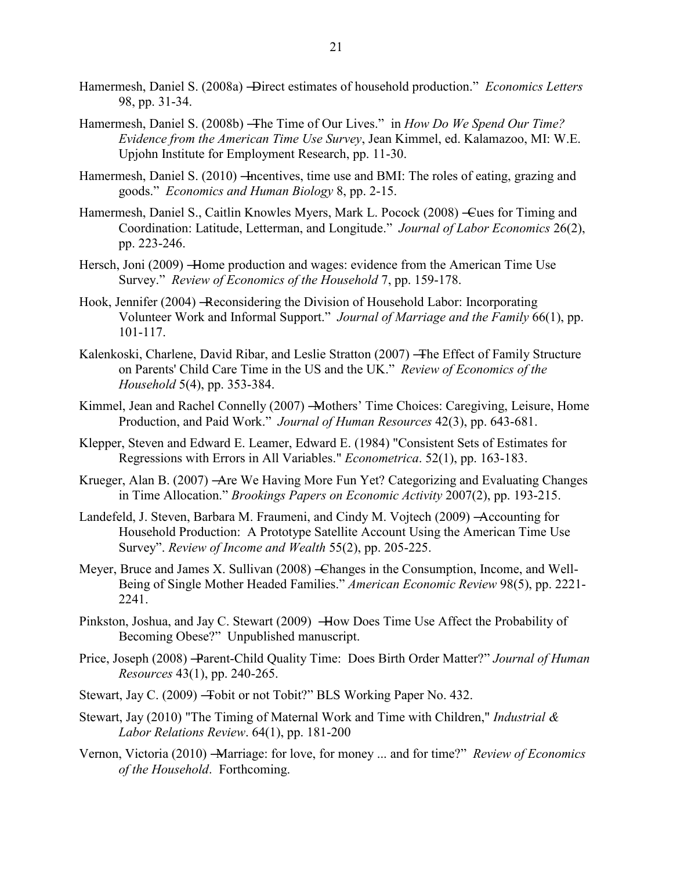- Hamermesh, Daniel S. (2008a) -Direct estimates of household production." *Economics Letters* 98, pp. 31-34.
- Hamermesh, Daniel S. (2008b) The Time of Our Lives." in *How Do We Spend Our Time? Evidence from the American Time Use Survey*, Jean Kimmel, ed. Kalamazoo, MI: W.E. Upjohn Institute for Employment Research, pp. 11-30.
- Hamermesh, Daniel S. (2010) Incentives, time use and BMI: The roles of eating, grazing and goods.‖ *Economics and Human Biology* 8, pp. 2-15.
- Hamermesh, Daniel S., Caitlin Knowles Myers, Mark L. Pocock (2008) Cues for Timing and Coordination: Latitude, Letterman, and Longitude.‖ *Journal of Labor Economics* 26(2), pp. 223-246.
- Hersch, Joni (2009) Home production and wages: evidence from the American Time Use Survey." *Review of Economics of the Household* 7, pp. 159-178.
- Hook, Jennifer (2004) ―Reconsidering the Division of Household Labor: Incorporating Volunteer Work and Informal Support.‖ *Journal of Marriage and the Family* 66(1), pp. 101-117.
- Kalenkoski, Charlene, David Ribar, and Leslie Stratton (2007) The Effect of Family Structure on Parents' Child Care Time in the US and the UK." *Review of Economics of the Household* 5(4), pp. 353-384.
- Kimmel, Jean and Rachel Connelly (2007) Mothers' Time Choices: Caregiving, Leisure, Home Production, and Paid Work." *Journal of Human Resources* 42(3), pp. 643-681.
- Klepper, Steven and Edward E. Leamer, Edward E. (1984) ["Consistent Sets of Estimates for](http://ideas.repec.org/a/ecm/emetrp/v52y1984i1p163-83.html)  [Regressions with Errors in All Variables.](http://ideas.repec.org/a/ecm/emetrp/v52y1984i1p163-83.html)" *[Econometrica](http://ideas.repec.org/s/ecm/emetrp.html)*. 52(1), pp. 163-183.
- Krueger, Alan B. (2007) ―Are We Having More Fun Yet? Categorizing and Evaluating Changes in Time Allocation." *Brookings Papers on Economic Activity* 2007(2), pp. 193-215.
- Landefeld, J. Steven, Barbara M. Fraumeni, and Cindy M. Vojtech (2009) ―Accounting for Household Production: A Prototype Satellite Account Using the American Time Use Survey‖. *Review of Income and Wealth* 55(2), pp. 205-225.
- Meyer, Bruce and James X. Sullivan (2008) Changes in the Consumption, Income, and Well-Being of Single Mother Headed Families." American Economic Review 98(5), pp. 2221-2241.
- Pinkston, Joshua, and Jay C. Stewart (2009) How Does Time Use Affect the Probability of Becoming Obese?" Unpublished manuscript.
- Price, Joseph (2008) -Parent-Child Quality Time: Does Birth Order Matter?" *Journal of Human Resources* 43(1), pp. 240-265.
- Stewart, Jay C. (2009) Tobit or not Tobit?" BLS Working Paper No. 432.
- Stewart, Jay (2010) "The Timing of Maternal Work and Time with Children," *Industrial & Labor Relations Review*. 64(1), pp. 181-200
- Vernon, Victoria (2010) -Marriage: for love, for money ... and for time?" *Review of Economics of the Household*. Forthcoming.